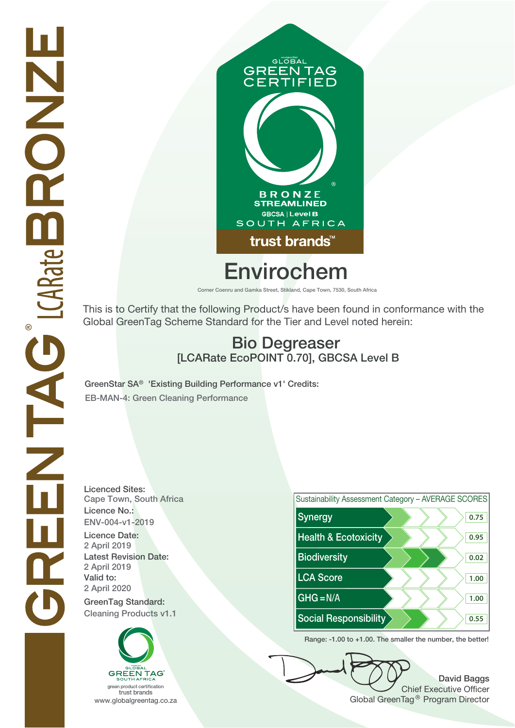

# GLOBAL **GREEN TAG<br>CERTIFIED B R O N Z E<br>STREAMLINED GBCSA | Level B** SOUTH AFRICA trust brands<sup>™</sup> **Envirochem**

**Corner Coenru and Gamka Street, Stikland, Cape Town, 7530, South Africa**

This is to Certify that the following Product/s have been found in conformance with the Global GreenTag Scheme Standard for the Tier and Level noted herein:

## **Bio Degreaser [LCARate EcoPOINT 0.70], GBCSA Level B**

**GreenStar SA® 'Existing Building Performance v1' Credits: EB-MAN-4: Green Cleaning Performance**

**Licenced Sites: Cape Town, South Africa Licence No.: ENV-004-v1-2019 2 April 2019 2 April 2020 2 April 2019 Latest Revision Date:**





**Range: -1.00 to +1.00. The smaller the number, the better!**

**David Baggs** Chief Executive Officer www.globalgreentag.co.za www.globalgreentag.co.za